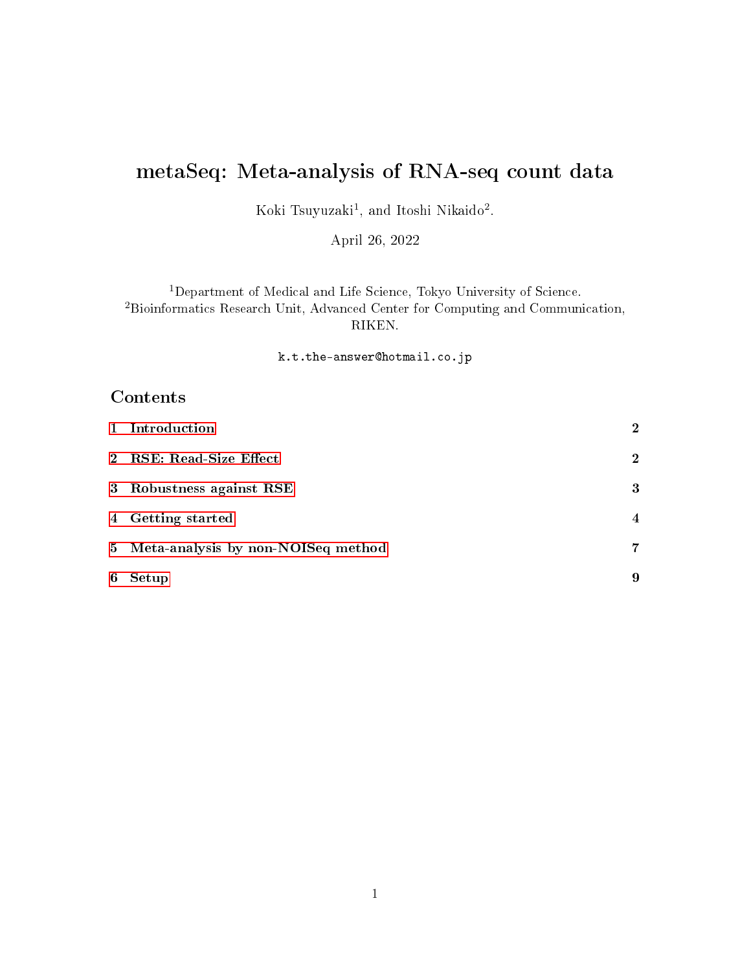# metaSeq: Meta-analysis of RNA-seq count data

Koki Tsuyuzaki<sup>1</sup>, and Itoshi Nikaido<sup>2</sup>.

April 26, 2022

<sup>1</sup>Department of Medical and Life Science, Tokyo University of Science. <sup>2</sup>Bioinformatics Research Unit, Advanced Center for Computing and Communication, RIKEN.

k.t.the-answer@hotmail.co.jp

## Contents

|   | 1 Introduction                       | $\overline{2}$ |
|---|--------------------------------------|----------------|
|   | 2 RSE: Read-Size Effect              | $\mathbf 2$    |
|   | 3 Robustness against RSE             | 3              |
|   | 4 Getting started                    | $\overline{4}$ |
|   | 5 Meta-analysis by non-NOISeq method | 7              |
| 6 | Setup                                | 9              |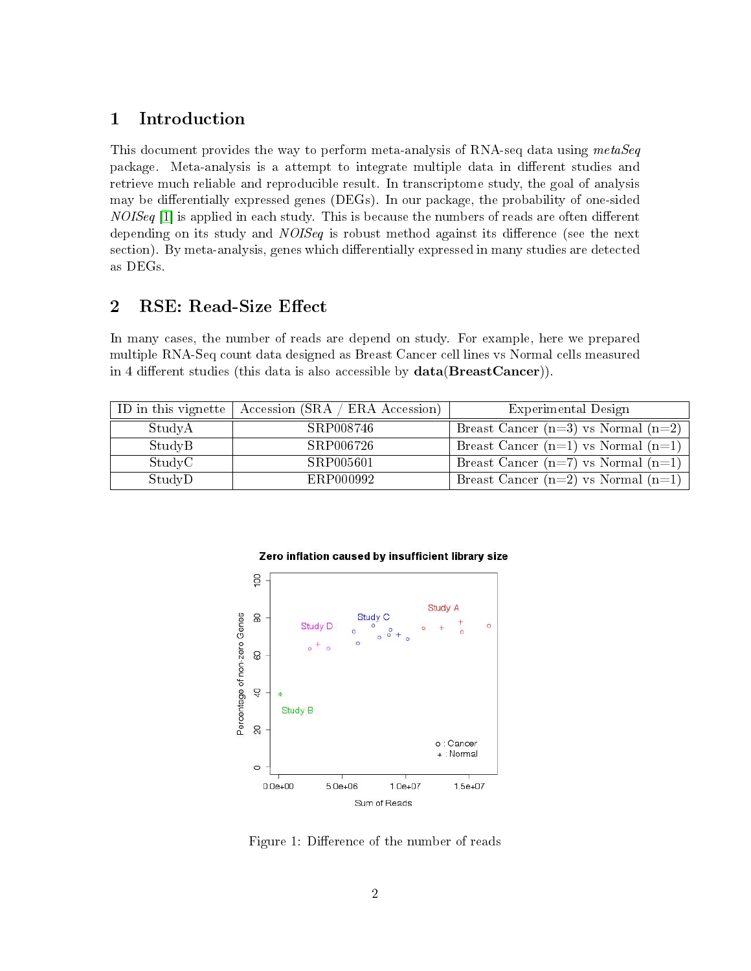## <span id="page-1-0"></span>1 Introduction

This document provides the way to perform meta-analysis of RNA-seq data using metaSeq package. Meta-analysis is a attempt to integrate multiple data in different studies and retrieve much reliable and reproducible result. In transcriptome study, the goal of analysis may be differentially expressed genes (DEGs). In our package, the probability of one-sided  $NOISeq$  [\[1\]](#page-9-0) is applied in each study. This is because the numbers of reads are often different depending on its study and *NOISeq* is robust method against its difference (see the next section). By meta-analysis, genes which differentially expressed in many studies are detected as DEGs.

## <span id="page-1-1"></span>2 RSE: Read-Size Effect

In many cases, the number of reads are depend on study. For example, here we prepared multiple RNA-Seq count data designed as Breast Cancer cell lines vs Normal cells measured in 4 different studies (this data is also accessible by  $data(BreactCancer)$ ).

|        | ID in this vignette $\vert$ Accession (SRA / ERA Accession) | Experimental Design                     |
|--------|-------------------------------------------------------------|-----------------------------------------|
| StudyA | SRP008746                                                   | Breast Cancer $(n=3)$ vs Normal $(n=2)$ |
| StudyB | SRP006726                                                   | Breast Cancer $(n=1)$ vs Normal $(n=1)$ |
| StudyC | SRP005601                                                   | Breast Cancer $(n=7)$ vs Normal $(n=1)$ |
| StudyD | ERP000992                                                   | Breast Cancer $(n=2)$ vs Normal $(n=1)$ |



#### Zero inflation caused by insufficient library size

Figure 1: Difference of the number of reads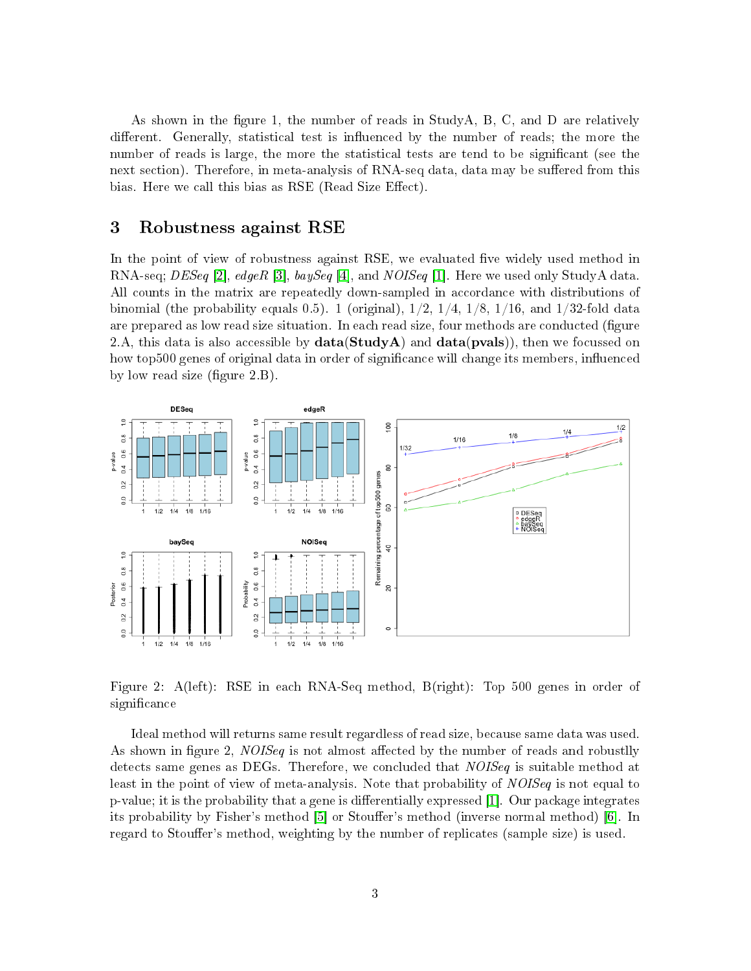As shown in the figure 1, the number of reads in StudyA, B, C, and D are relatively different. Generally, statistical test is influenced by the number of reads; the more the number of reads is large, the more the statistical tests are tend to be signicant (see the next section). Therefore, in meta-analysis of RNA-seq data, data may be suffered from this bias. Here we call this bias as RSE (Read Size Effect).

### <span id="page-2-0"></span>3 Robustness against RSE

In the point of view of robustness against RSE, we evaluated five widely used method in RNA-seq;  $DESeq$  [\[2\]](#page-9-1),  $edge$  [\[3\]](#page-9-2),  $baySeq$  [\[4\]](#page-9-3), and  $NOISEq$  [\[1\]](#page-9-0). Here we used only StudyA data. All counts in the matrix are repeatedly down-sampled in accordance with distributions of binomial (the probability equals 0.5). 1 (original),  $1/2$ ,  $1/4$ ,  $1/8$ ,  $1/16$ , and  $1/32$ -fold data are prepared as low read size situation. In each read size, four methods are conducted (figure 2.A, this data is also accessible by  $data(StudyA)$  and  $data(pvals)$ , then we focussed on how top500 genes of original data in order of significance will change its members, influenced by low read size (figure  $2.B$ ).



Figure 2: A(left): RSE in each RNA-Seq method, B(right): Top 500 genes in order of significance

Ideal method will returns same result regardless of read size, because same data was used. As shown in figure 2, *NOISeq* is not almost affected by the number of reads and robustlly detects same genes as DEGs. Therefore, we concluded that *NOISeq* is suitable method at least in the point of view of meta-analysis. Note that probability of NOISeq is not equal to  $p$ -value; it is the probability that a gene is differentially expressed [\[1\]](#page-9-0). Our package integrates its probability by Fisher's method [\[5\]](#page-9-4) or Stouffer's method (inverse normal method) [\[6\]](#page-9-5). In regard to Stouffer's method, weighting by the number of replicates (sample size) is used.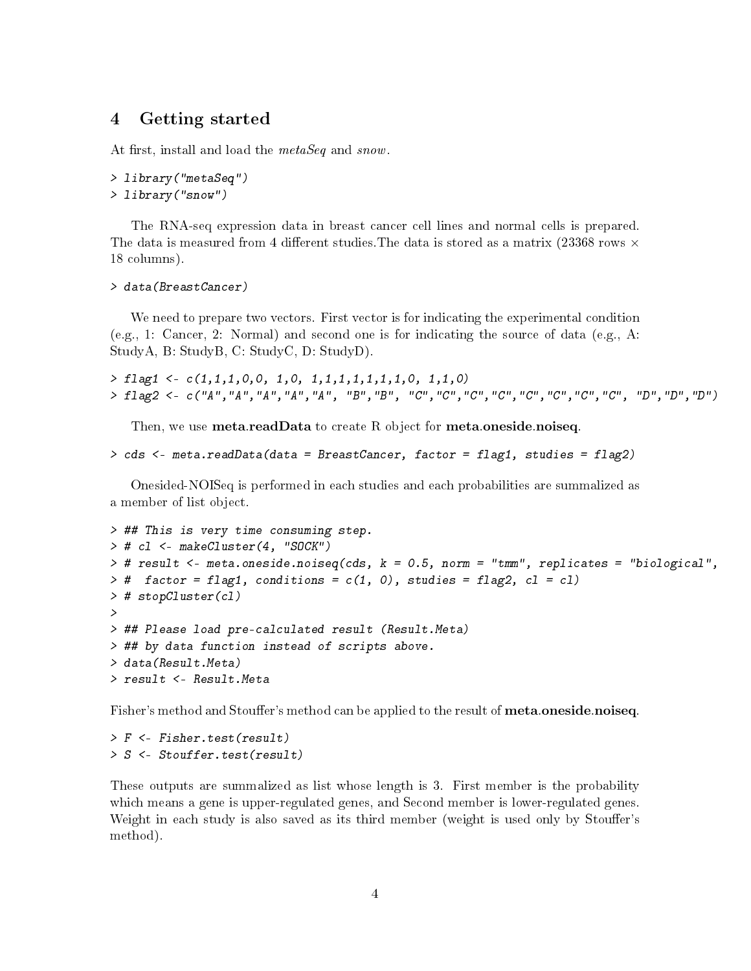### <span id="page-3-0"></span>4 Getting started

At first, install and load the metaSeq and snow.

```
> library("metaSeq")
> library("snow")
```
The RNA-seq expression data in breast cancer cell lines and normal cells is prepared. The data is measured from 4 different studies. The data is stored as a matrix (23368 rows  $\times$ 18 columns).

```
> data(BreastCancer)
```
We need to prepare two vectors. First vector is for indicating the experimental condition (e.g., 1: Cancer, 2: Normal) and second one is for indicating the source of data (e.g., A: StudyA, B: StudyB, C: StudyC, D: StudyD).

```
> flag1 <- c(1,1,1,0,0, 1,0, 1,1,1,1,1,1,1,0, 1,1,0)
> flag2 <- c("A","A","A","A","A", "B","B", "C","C","C","C","C","C","C","C", "D","D","D")
```
Then, we use **meta.readData** to create R object for **meta.oneside.noiseq**.

```
> cds <- meta.readData(data = BreastCancer, factor = flag1, studies = flag2)
```
Onesided-NOISeq is performed in each studies and each probabilities are summalized as a member of list object.

```
> ## This is very time consuming step.
> # cl <- makeCluster(4, "SOCK")
> # result <- meta.oneside.noiseq(cds, k = 0.5, norm = "tmm", replicates = "biological",
> # factor = flag1, conditions = c(1, 0), studies = flag2, c1 = c1)
> # stopCluster(cl)
>
> ## Please load pre-calculated result (Result.Meta)
> ## by data function instead of scripts above.
> data(Result.Meta)
> result <- Result.Meta
```
Fisher's method and Stouffer's method can be applied to the result of **meta.oneside.noiseq**.

```
> F <- Fisher.test(result)
> S <- Stouffer.test(result)
```
These outputs are summalized as list whose length is 3. First member is the probability which means a gene is upper-regulated genes, and Second member is lower-regulated genes. Weight in each study is also saved as its third member (weight is used only by Stouffer's method).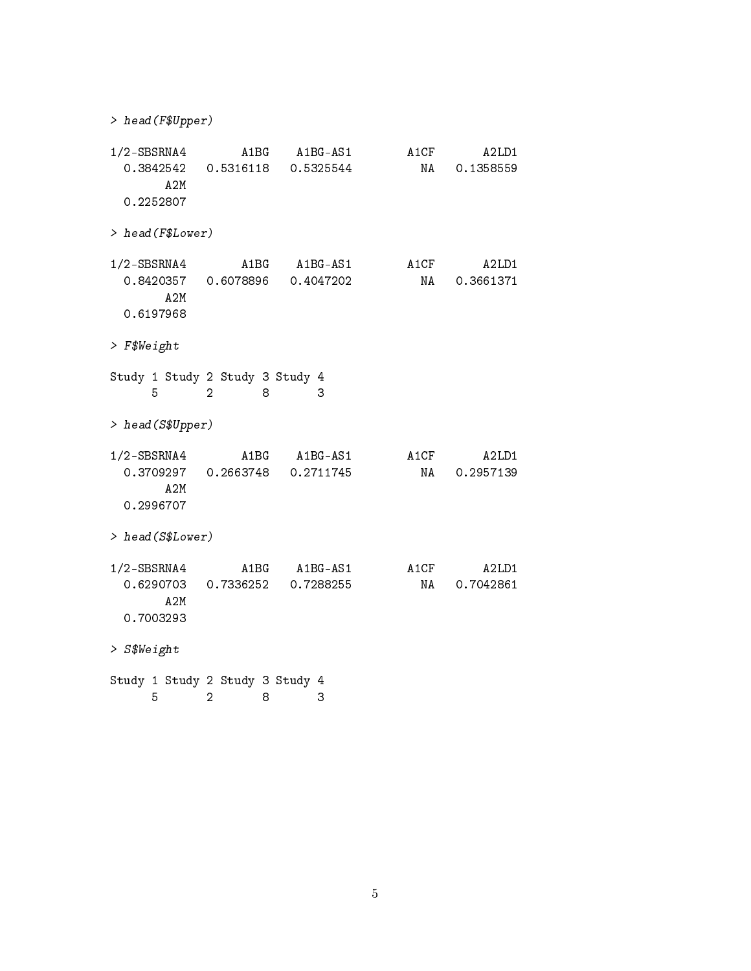| > head(F\$Upper)                                |                     |                                       |            |                    |
|-------------------------------------------------|---------------------|---------------------------------------|------------|--------------------|
| $1/2$ -SBSRNA4<br>0.3842542<br>A2M<br>0.2252807 |                     | A1BG A1BG-AS1<br>0.5316118  0.5325544 | A1CF<br>NA | A2LD1<br>0.1358559 |
| > head(F\$Lower)                                |                     |                                       |            |                    |
| $1/2$ -SBSRNA4<br>0.8420357<br>A2M<br>0.6197968 | A1BG<br>0.6078896   | $A1BG-AS1$<br>0.4047202               | A1CF<br>NA | A2LD1<br>0.3661371 |
| $>$ F\$Weight                                   |                     |                                       |            |                    |
| Study 1 Study 2 Study 3 Study 4<br>5            | 2<br>8              | 3                                     |            |                    |
| > head(S\$Upper)                                |                     |                                       |            |                    |
| $1/2$ -SBSRNA4<br>0.3709297<br>A2M<br>0.2996707 | A1BG                | $A1BG-AS1$<br>0.2663748 0.2711745     | A1CF<br>NA | A2LD1<br>0.2957139 |
| > head(S\$Lower)                                |                     |                                       |            |                    |
| $1/2$ -SBSRNA4<br>0.6290703<br>A2M<br>0.7003293 | 0.7336252           | A1BG A1BG-AS1<br>0.7288255            | A1CF<br>NA | A2LD1<br>0.7042861 |
| > S\$Weight                                     |                     |                                       |            |                    |
| Study 1 Study 2 Study 3 Study 4<br>5            | $\overline{2}$<br>8 | 3                                     |            |                    |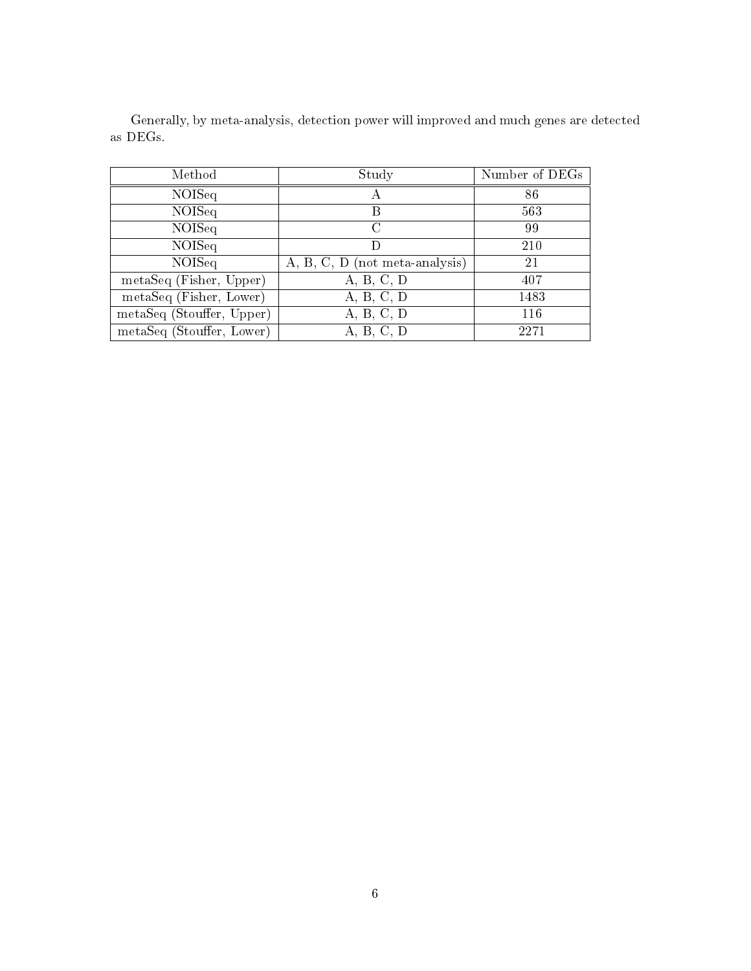| Method                    | Study                          | Number of DEGs |
|---------------------------|--------------------------------|----------------|
| NOISeq                    | А                              | 86             |
| <b>NOISeq</b>             | B                              | 563            |
| <b>NOISeq</b>             | C                              | 99             |
| <b>NOISeq</b>             |                                | 210            |
| NOISeq                    | A, B, C, D (not meta-analysis) | 21             |
| metaSeq (Fisher, Upper)   | A, B, C, D                     | 407            |
| metaSeq (Fisher, Lower)   | A, B, C, D                     | 1483           |
| metaSeq (Stouffer, Upper) | A, B, C, D                     | 116            |
| metaSeq (Stouffer, Lower) | A, B, C, D                     | 2271           |

Generally, by meta-analysis, detection power will improved and much genes are detected as DEGs.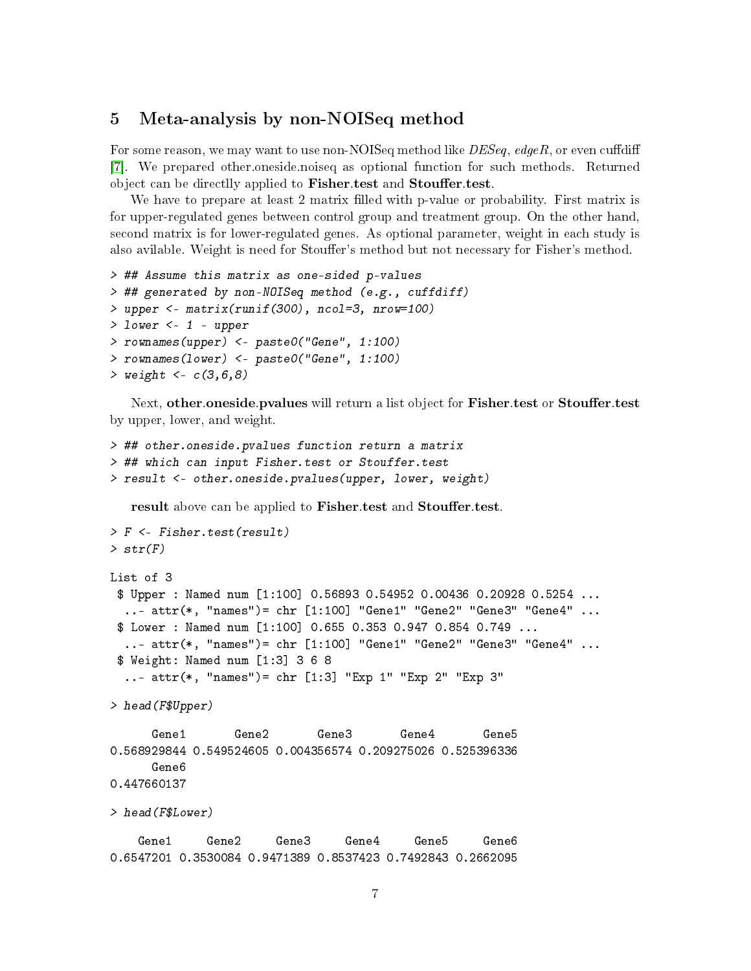#### <span id="page-6-0"></span>5 Meta-analysis by non-NOISeq method

For some reason, we may want to use non-NOISeq method like  $DESeq$ ,  $edge$ , or even cuffdiff [\[7\]](#page-9-6). We prepared other.oneside.noiseq as optional function for such methods. Returned object can be directlly applied to Fisher.test and Stouffer.test.

We have to prepare at least 2 matrix filled with p-value or probability. First matrix is for upper-regulated genes between control group and treatment group. On the other hand, second matrix is for lower-regulated genes. As optional parameter, weight in each study is also avilable. Weight is need for Stouffer's method but not necessary for Fisher's method.

```
> ## Assume this matrix as one-sided p-values
> ## generated by non-NOISeq method (e.g., cuffdiff)
> upper <- matrix(runif(300), ncol=3, nrow=100)
> lower <-1 - upper
> rownames(upper) <- paste0("Gene", 1:100)
> rownames(lower) <- paste0("Gene", 1:100)
> weight < -c(3, 6, 8)
```
Next, other.oneside.pvalues will return a list object for Fisher.test or Stouffer.test by upper, lower, and weight.

```
> ## other.oneside.pvalues function return a matrix
> ## which can input Fisher.test or Stouffer.test
> result <- other.oneside.pvalues(upper, lower, weight)
```
result above can be applied to Fisher.test and Stouffer.test.

```
> F <- Fisher.test(result)
> str(F)List of 3
 $ Upper : Named num [1:100] 0.56893 0.54952 0.00436 0.20928 0.5254 ...
 ..- attr(*, "names")= chr [1:100] "Gene1" "Gene2" "Gene3" "Gene4" ...
 $ Lower : Named num [1:100] 0.655 0.353 0.947 0.854 0.749 ...
  ..- attr(*, "names")= chr [1:100] "Gene1" "Gene2" "Gene3" "Gene4" ...
 $ Weight: Named num [1:3] 3 6 8
  ..- attr(*, "names")= chr [1:3] "Exp 1" "Exp 2" "Exp 3"
> head(F$Upper)
      Gene1 Gene2 Gene3 Gene4 Gene5
0.568929844 0.549524605 0.004356574 0.209275026 0.525396336
     Gene6
0.447660137
> head(F$Lower)
    Gene1 Gene2 Gene3 Gene4 Gene5 Gene6
0.6547201 0.3530084 0.9471389 0.8537423 0.7492843 0.2662095
```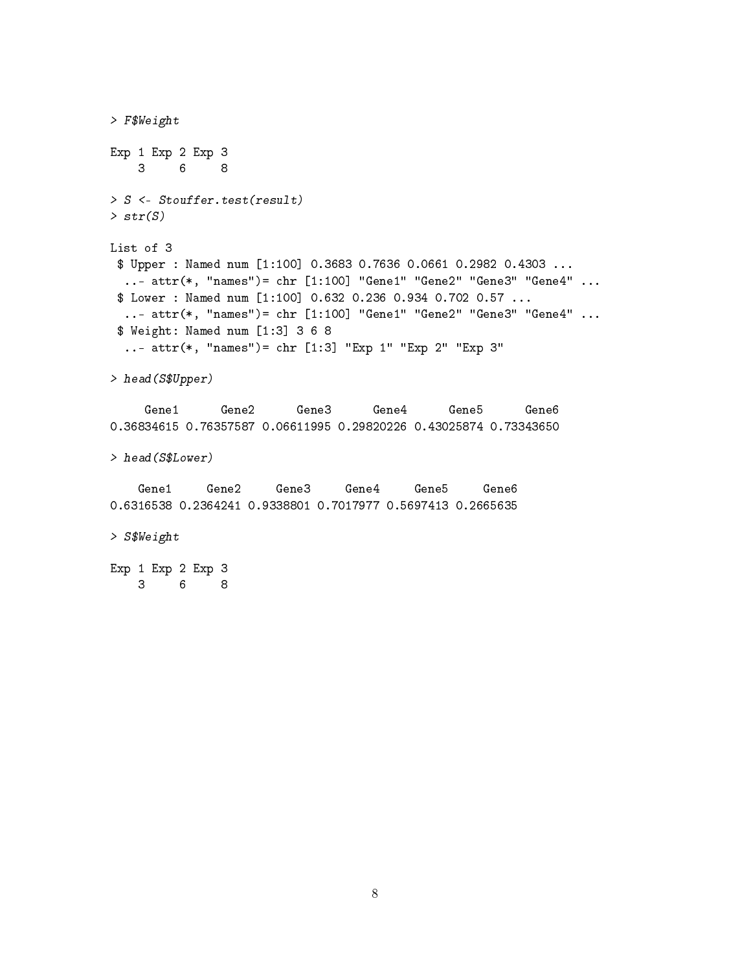> F\$Weight Exp 1 Exp 2 Exp 3 3 6 8 > S <- Stouffer.test(result)  $> str(S)$ List of 3 \$ Upper : Named num [1:100] 0.3683 0.7636 0.0661 0.2982 0.4303 ... ..- attr(\*, "names")= chr [1:100] "Gene1" "Gene2" "Gene3" "Gene4" ... \$ Lower : Named num [1:100] 0.632 0.236 0.934 0.702 0.57 ... ..- attr(\*, "names")= chr [1:100] "Gene1" "Gene2" "Gene3" "Gene4" ... \$ Weight: Named num [1:3] 3 6 8 ..- attr(\*, "names")= chr [1:3] "Exp 1" "Exp 2" "Exp 3" > head(S\$Upper) Gene1 Gene2 Gene3 Gene4 Gene5 Gene6 0.36834615 0.76357587 0.06611995 0.29820226 0.43025874 0.73343650 > head(S\$Lower) Gene1 Gene2 Gene3 Gene4 Gene5 Gene6 0.6316538 0.2364241 0.9338801 0.7017977 0.5697413 0.2665635 > S\$Weight Exp 1 Exp 2 Exp 3 3 6 8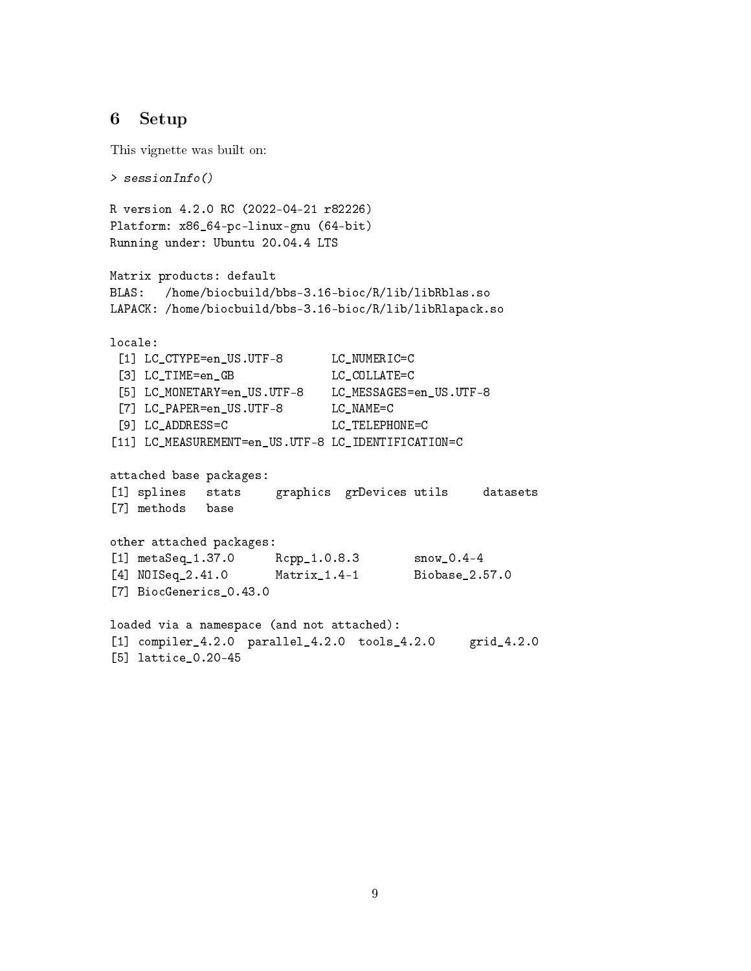## <span id="page-8-0"></span>6 Setup

This vignette was built on:

```
> sessionInfo()
R version 4.2.0 RC (2022-04-21 r82226)
Platform: x86_64-pc-linux-gnu (64-bit)
Running under: Ubuntu 20.04.4 LTS
Matrix products: default
BLAS: /home/biocbuild/bbs-3.16-bioc/R/lib/libRblas.so
LAPACK: /home/biocbuild/bbs-3.16-bioc/R/lib/libRlapack.so
locale:
 [1] LC_CTYPE=en_US.UTF-8 LC_NUMERIC=C
 [3] LC_TIME=en_GB LC_COLLATE=C
 [5] LC_MONETARY=en_US.UTF-8 LC_MESSAGES=en_US.UTF-8
 [7] LC_PAPER=en_US.UTF-8 LC_NAME=C
 [9] LC_ADDRESS=C LC_TELEPHONE=C
[11] LC_MEASUREMENT=en_US.UTF-8 LC_IDENTIFICATION=C
attached base packages:
[1] splines stats graphics grDevices utils datasets
[7] methods base
other attached packages:
[1] metaSeq_1.37.0 Rcpp_1.0.8.3 snow_0.4-4
[4] NOISeq_2.41.0 Matrix_1.4-1 Biobase_2.57.0
[7] BiocGenerics_0.43.0
loaded via a namespace (and not attached):
[1] compiler_4.2.0 parallel_4.2.0 tools_4.2.0 grid_4.2.0
[5] lattice_0.20-45
```